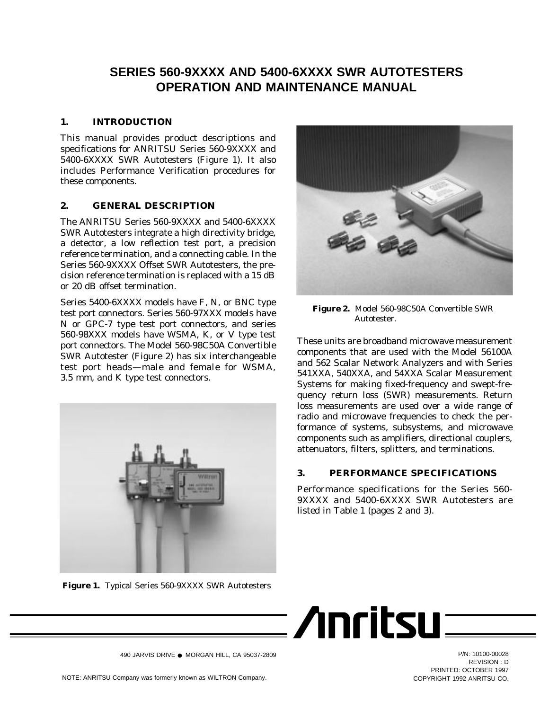# **SERIES 560-9XXXX AND 5400-6XXXX SWR AUTOTESTERS OPERATION AND MAINTENANCE MANUAL**

## **1. INTRODUCTION**

This manual provides product descriptions and specifications for ANRITSU Series 560-9XXXX and 5400-6XXXX SWR Autotesters (Figure 1). It also includes Performance Verification procedures for these components.

## **2. GENERAL DESCRIPTION**

The ANRITSU Series 560-9XXXX and 5400-6XXXX SWR Autotesters integrate a high directivity bridge, a detector, a low reflection test port, a precision reference termination, and a connecting cable. In the Series 560-9XXXX Offset SWR Autotesters, the precision reference termination is replaced with a 15 dB or 20 dB offset termination.

Series 5400-6XXXX models have F, N, or BNC type test port connectors. Series 560-97XXX models have N or GPC-7 type test port connectors, and series 560-98XXX models have WSMA, K, or V type test port connectors. The Model 560-98C50A Convertible SWR Autotester (Figure 2) has six interchangeable test port heads—male and female for WSMA, 3.5 mm, and K type test connectors.



**Figure 1.** Typical Series 560-9XXXX SWR Autotesters



**Figure 2.** Model 560-98C50A Convertible SWR **Autotester** 

These units are broadband microwave measurement components that are used with the Model 56100A and 562 Scalar Network Analyzers and with Series 541XXA, 540XXA, and 54XXA Scalar Measurement Systems for making fixed-frequency and swept-frequency return loss (SWR) measurements. Return loss measurements are used over a wide range of radio and microwave frequencies to check the performance of systems, subsystems, and microwave components such as amplifiers, directional couplers, attenuators, filters, splitters, and terminations.

### **3. PERFORMANCE SPECIFICATIONS**

: /Inritsu=

Performance specifications for the Series 560- 9XXXX and 5400-6XXXX SWR Autotesters are listed in Table 1 (pages 2 and 3).



REVISION : D PRINTED: OCTOBER 1997<br>COPYRIGHT 1992 ANRITSLI CO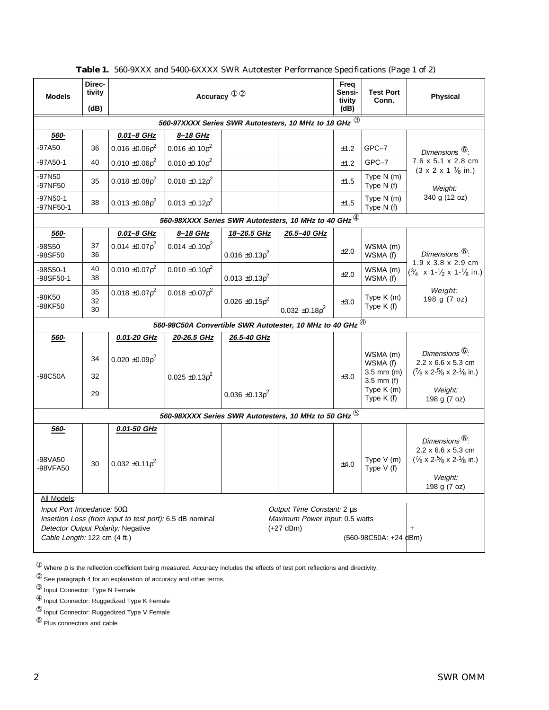| <b>Models</b>                                                                                                                                                                                                                                                                                  | Direc-<br>tivity<br>(dB) | Accuracy <sup>1 2</sup> |                         |                                                                                 | Freq<br>Sensi-<br>tivity<br>(dB) | <b>Test Port</b><br>Conn. | <b>Physical</b>                                                                  |                                                                                                                                        |  |
|------------------------------------------------------------------------------------------------------------------------------------------------------------------------------------------------------------------------------------------------------------------------------------------------|--------------------------|-------------------------|-------------------------|---------------------------------------------------------------------------------|----------------------------------|---------------------------|----------------------------------------------------------------------------------|----------------------------------------------------------------------------------------------------------------------------------------|--|
|                                                                                                                                                                                                                                                                                                |                          |                         |                         |                                                                                 |                                  |                           |                                                                                  |                                                                                                                                        |  |
| 560-97XXXX Series SWR Autotesters, 10 MHz to 18 GHz $^{\circledR}$<br>0.01-8 GHz<br>560-<br>8-18 GHz                                                                                                                                                                                           |                          |                         |                         |                                                                                 |                                  |                           |                                                                                  |                                                                                                                                        |  |
| -97A50                                                                                                                                                                                                                                                                                         | 36                       | $0.016 \pm 0.06p^2$     | $0.016 \pm 0.10p^2$     |                                                                                 |                                  | ±1.2                      | GPC-7                                                                            |                                                                                                                                        |  |
|                                                                                                                                                                                                                                                                                                |                          |                         |                         |                                                                                 |                                  |                           |                                                                                  | Dimensions <sup>6</sup> :<br>7.6 x 5.1 x 2.8 cm                                                                                        |  |
| -97A50-1                                                                                                                                                                                                                                                                                       | 40                       | $0.010 \pm 0.06p^2$     | $0.010 \pm 0.10 \rho^2$ |                                                                                 |                                  | ±1.2                      | GPC-7                                                                            | $(3 \times 2 \times 1 \frac{1}{8} \text{ in.})$                                                                                        |  |
| -97N50<br>-97NF50                                                                                                                                                                                                                                                                              | 35                       | $0.018 \pm 0.08p^2$     | $0.018 \pm 0.12p^2$     |                                                                                 |                                  | ±1.5                      | Type N (m)<br>Type N (f)                                                         | Weight:                                                                                                                                |  |
| -97N50-1<br>-97NF50-1                                                                                                                                                                                                                                                                          | 38                       | $0.013 \pm 0.08 \rho^2$ | $0.013 \pm 0.12p^2$     |                                                                                 |                                  | $\pm 1.5$                 | Type N (m)<br>Type N (f)                                                         | 340 g (12 oz)                                                                                                                          |  |
|                                                                                                                                                                                                                                                                                                |                          |                         |                         | 560-98XXXX Series SWR Autotesters, 10 MHz to 40 GHz $^{\textcircled{\tiny{4}}}$ |                                  |                           |                                                                                  |                                                                                                                                        |  |
| 560-                                                                                                                                                                                                                                                                                           |                          | 0.01-8 GHz              | 8-18 GHz                | 18-26.5 GHz                                                                     | 26.5-40 GHz                      |                           |                                                                                  |                                                                                                                                        |  |
| -98S50<br>-98SF50                                                                                                                                                                                                                                                                              | 37<br>36                 | $0.014 \pm 0.07 \rho^2$ | $0.014 \pm 0.10p^2$     | $0.016 \pm 0.13p^2$                                                             |                                  | ±2.0                      | WSMA (m)<br>WSMA (f)                                                             | Dimensions <sup>6</sup> :                                                                                                              |  |
| $-98S50-1$<br>-98SF50-1                                                                                                                                                                                                                                                                        | 40<br>38                 | $0.010 \pm 0.07 \rho^2$ | $0.010 \pm 0.10p^2$     | $0.013 \pm 0.13p^2$                                                             |                                  | ±2.0                      | WSMA (m)<br>WSMA (f)                                                             | $1.9 \times 3.8 \times 2.9$ cm<br>$\left(\frac{3}{4} \times 1 \cdot \frac{1}{2} \times 1 \cdot \frac{1}{8} \text{ in.}\right)$         |  |
| -98K50<br>-98KF50                                                                                                                                                                                                                                                                              | 35<br>32<br>30           | $0.018 \pm 0.07 \rho^2$ | $0.018 \pm 0.07 \rho^2$ | $0.026 \pm 0.15p^2$                                                             | $0.032 \pm 0.18p^2$              | ±3.0                      | Type K (m)<br>Type K (f)                                                         | Weight:<br>198 g (7 oz)                                                                                                                |  |
|                                                                                                                                                                                                                                                                                                |                          |                         |                         | 560-98C50A Convertible SWR Autotester, 10 MHz to 40 GHz $^{\circledR}$          |                                  |                           |                                                                                  |                                                                                                                                        |  |
| 560-                                                                                                                                                                                                                                                                                           |                          | 0.01-20 GHz             | 20-26.5 GHz             | 26.5-40 GHz                                                                     |                                  |                           |                                                                                  |                                                                                                                                        |  |
| -98C50A                                                                                                                                                                                                                                                                                        | 34<br>32<br>29           | $0.020 \pm 0.09p^2$     | $0.025 \pm 0.13p^2$     | $0.036 \pm 0.13p^2$                                                             |                                  | ±3.0                      | WSMA (m)<br>WSMA (f)<br>$3.5$ mm (m)<br>$3.5$ mm (f)<br>Type K (m)<br>Type K (f) | Dimensions <sup>6</sup> :<br>2.2 x 6.6 x 5.3 cm<br>$\frac{7}{8}$ x 2- $\frac{5}{8}$ x 2- $\frac{1}{8}$ in.)<br>Weight:<br>198 g (7 oz) |  |
|                                                                                                                                                                                                                                                                                                |                          |                         |                         | 560-98XXXX Series SWR Autotesters, 10 MHz to 50 GHz $^\circledS$                |                                  |                           |                                                                                  |                                                                                                                                        |  |
| 560-                                                                                                                                                                                                                                                                                           |                          | 0.01-50 GHz             |                         |                                                                                 |                                  |                           |                                                                                  |                                                                                                                                        |  |
| -98VA50<br>-98VFA50                                                                                                                                                                                                                                                                            | 30                       | $0.032 \pm 0.11 \rho^2$ |                         |                                                                                 |                                  | ±4.0                      | Type V (m)<br>Type $V(f)$                                                        | Dimensions <sup>6</sup> :<br>2.2 x 6.6 x 5.3 cm<br>$\frac{7}{8}$ x 2- $\frac{5}{8}$ x 2- $\frac{1}{8}$ in.)<br>Weight:<br>198 g (7 oz) |  |
| All Models:<br>Input Port Impedance: $50\Omega$<br>Output Time Constant: 2 µs<br>Insertion Loss (from input to test port): 6.5 dB nominal<br>Maximum Power Input: 0.5 watts<br>Detector Output Polarity: Negative<br>$(+27$ dBm)<br>+<br>Cable Length: 122 cm (4 ft.)<br>(560-98C50A: +24 dBm) |                          |                         |                         |                                                                                 |                                  |                           |                                                                                  |                                                                                                                                        |  |

**Table 1.** 560-9XXX and 5400-6XXXX SWR Autotester Performance Specifications (Page 1 of 2)

 $^{\circ}$  Where ρ is the reflection coefficient being measured. Accuracy includes the effects of test port reflections and directivity.

 $\circ$  See paragraph 4 for an explanation of accuracy and other terms.

<sup>➃</sup> Input Connector: Ruggedized Type K Female

<sup>➄</sup> Input Connector: Ruggedized Type V Female

<sup>➅</sup> Plus connectors and cable

<sup>➂</sup> Input Connector: Type N Female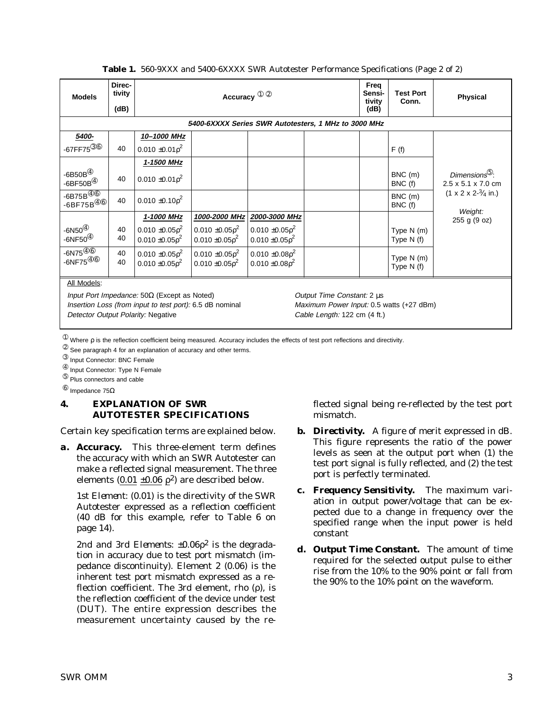| <b>Models</b>                                                      | Direc-<br>tivity<br>(dB)                                                         |                                                          |                                                | Freq<br>Sensi-<br>tivity<br>(dB)               | <b>Test Port</b><br>Conn.                | <b>Physical</b> |                            |                                                 |  |  |
|--------------------------------------------------------------------|----------------------------------------------------------------------------------|----------------------------------------------------------|------------------------------------------------|------------------------------------------------|------------------------------------------|-----------------|----------------------------|-------------------------------------------------|--|--|
| 5400-6XXXX Series SWR Autotesters, 1 MHz to 3000 MHz               |                                                                                  |                                                          |                                                |                                                |                                          |                 |                            |                                                 |  |  |
| 5400-                                                              |                                                                                  | 10-1000 MHz                                              |                                                |                                                |                                          |                 |                            |                                                 |  |  |
| $-67$ FF75 $^{\circledR\circledR}$                                 | 40                                                                               | $0.010 \pm 0.01 \rho^2$                                  |                                                |                                                |                                          |                 | F(f)                       |                                                 |  |  |
|                                                                    |                                                                                  | 1-1500 MHz                                               |                                                |                                                |                                          |                 |                            |                                                 |  |  |
| -6B50B $^{\circledR}$<br>-6BF50B $^{\circledR}$                    | 40                                                                               | $0.010 \pm 0.01 \rho^2$                                  |                                                |                                                |                                          |                 | $BNC$ (m)<br>BNC (f)       | Dimensions <sup>5</sup> :<br>2.5 x 5.1 x 7.0 cm |  |  |
| $-6B75B^{\overline{{(4)6}}}$<br>$-6$ BF75B $^{\circledR\circledR}$ | 40                                                                               | $0.010 \pm 0.10 \rho^2$                                  |                                                |                                                |                                          |                 | BNC (m)<br>BNC (f)         | $(1 \times 2 \times 2^{-3}/4 \text{ in.})$      |  |  |
|                                                                    |                                                                                  | 1-1000 MHz                                               | 1000-2000 MHz                                  | 2000-3000 MHz                                  |                                          |                 |                            | Weight:<br>255 g (9 oz)                         |  |  |
| -6N50 $^{\circledR}$<br>$-6NF50^{\circledR}$                       | 40<br>40                                                                         | $0.010 \pm 0.05p^2$<br>$0.010 \pm 0.05p^2$               | $0.010 \pm 0.05 \rho^2$<br>$0.010 \pm 0.05p^2$ | $0.010 \pm 0.05p^2$<br>$0.010 \pm 0.05p^2$     |                                          |                 | Type $N(m)$<br>Type $N(f)$ |                                                 |  |  |
| $-6N75^{\overline{{(4)6}}}$<br>$-6NF75^{\circledR\circledR}$       | 40<br>40                                                                         | $0.010 \pm 0.05 \rho^2$<br>$0.010 \pm 0.05p^2$           | $0.010 \pm 0.05p^2$<br>$0.010 \pm 0.05p^2$     | $0.010 \pm 0.08 \rho^2$<br>$0.010 \pm 0.08p^2$ |                                          |                 | Type N (m)<br>Type $N(f)$  |                                                 |  |  |
| All Models:                                                        |                                                                                  |                                                          |                                                |                                                |                                          |                 |                            |                                                 |  |  |
|                                                                    | Input Port Impedance: $50\Omega$ (Except as Noted)<br>Output Time Constant: 2 µs |                                                          |                                                |                                                |                                          |                 |                            |                                                 |  |  |
|                                                                    |                                                                                  | Insertion Loss (from input to test port): 6.5 dB nominal |                                                |                                                | Maximum Power Input: 0.5 watts (+27 dBm) |                 |                            |                                                 |  |  |
| Detector Output Polarity: Negative                                 |                                                                                  |                                                          |                                                |                                                | Cable Length: 122 cm (4 ft.)             |                 |                            |                                                 |  |  |

**Table 1.** 560-9XXX and 5400-6XXXX SWR Autotester Performance Specifications (Page 2 of 2)

 $^{\circledR}$  Where ρ is the reflection coefficient being measured. Accuracy includes the effects of test port reflections and directivity.

- $<sup>②</sup>$  See paragraph 4 for an explanation of accuracy and other terms.</sup>
- <sup>➂</sup> Input Connector: BNC Female
- <sup>➃</sup> Input Connector: Type N Female
- <sup>➄</sup> Plus connectors and cable
- $^{\circledR}$  Impedance 75 $\Omega$

## **4. EXPLANATION OF SWR AUTOTESTER SPECIFICATIONS**

Certain key specification terms are explained below.

*a. Accuracy.* This three-element term defines the accuracy with which an SWR Autotester can make a reflected signal measurement. The three elements (0.01 ±0.06 ρ*2*) are described below.

*1st Element:* (0.01) is the directivity of the SWR Autotester expressed as a reflection coefficient (40 dB for this example, refer to Table 6 on page 14).

*2nd and 3rd Elements:* ±0.06ρ*2* is the degradation in accuracy due to test port mismatch (impedance discontinuity). Element 2 (0.06) is the inherent test port mismatch expressed as a reflection coefficient. The 3rd element, rho (ρ), is the reflection coefficient of the device under test (DUT). The entire expression describes the measurement uncertainty caused by the reflected signal being re-reflected by the test port mismatch.

- *b. Directivity.* A figure of merit expressed in dB. This figure represents the ratio of the power levels as seen at the output port when (1) the test port signal is fully reflected, and (2) the test port is perfectly terminated.
- *c. Frequency Sensitivity.* The maximum variation in output power/voltage that can be expected due to a change in frequency over the specified range when the input power is held constant
- *d. Output Time Constant.* The amount of time required for the selected output pulse to either rise from the 10% to the 90% point or fall from the 90% to the 10% point on the waveform.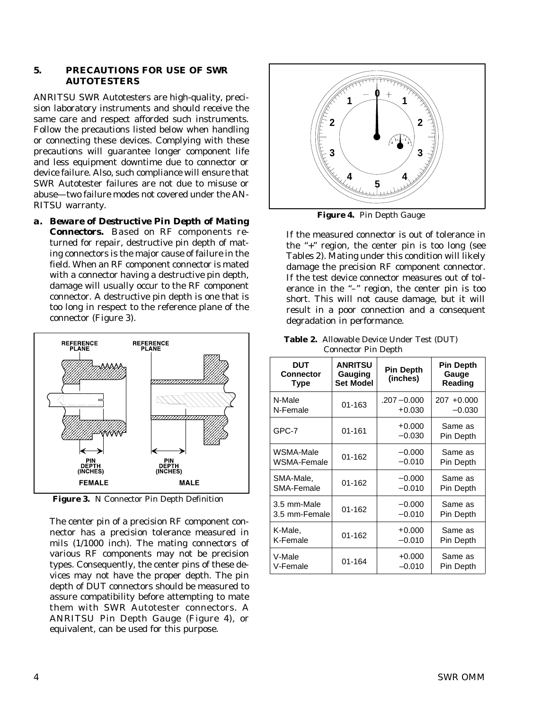### **5. PRECAUTIONS FOR USE OF SWR AUTOTESTERS**

ANRITSU SWR Autotesters are high-quality, precision laboratory instruments and should receive the same care and respect afforded such instruments. Follow the precautions listed below when handling or connecting these devices. Complying with these precautions will guarantee longer component life and less equipment downtime due to connector or device failure. Also, such compliance will ensure that SWR Autotester failures are not due to misuse or abuse—two failure modes not covered under the AN-RITSU warranty.

*a. Beware of Destructive Pin Depth of Mating Connectors.* Based on RF components returned for repair, destructive pin depth of mating connectors is the major cause of failure in the field. When an RF component connector is mated with a connector having a destructive pin depth, damage will usually occur to the RF component connector. A destructive pin depth is one that is too long in respect to the reference plane of the connector (Figure 3).



**Figure 3.** N Connector Pin Depth Definition

The center pin of a precision RF component connector has a precision tolerance measured in mils (1/1000 inch). The mating connectors of various RF components may not be precision types. Consequently, the center pins of these devices may not have the proper depth. The pin depth of DUT connectors should be measured to assure compatibility before attempting to mate them with SWR Autotester connectors. A ANRITSU Pin Depth Gauge (Figure 4), or equivalent, can be used for this purpose.



**Figure 4.** Pin Depth Gauge

If the measured connector is out of tolerance in the "+" region, the center pin is too long (see Tables 2). Mating under this condition will likely damage the precision RF component connector. If the test device connector measures out of tolerance in the "–" region, the center pin is too short. This will not cause damage, but it will result in a poor connection and a consequent degradation in performance.

| <b>Table 2.</b> Allowable Device Under Test (DUT) |
|---------------------------------------------------|
| <b>Connector Pin Depth</b>                        |

| <b>DUT</b><br><b>Connector</b><br>Type | <b>ANRITSU</b><br>Gauging<br><b>Set Model</b> | <b>Pin Depth</b><br>(inches) | <b>Pin Depth</b><br>Gauge<br>Reading |
|----------------------------------------|-----------------------------------------------|------------------------------|--------------------------------------|
| N-Male                                 | 01-163                                        | $.207 - 0.000$               | $207 + 0.000$                        |
| N-Female                               |                                               | $+0.030$                     | $-0.030$                             |
| GPC-7                                  | $01 - 161$                                    | $+0.000$<br>$-0.030$         | Same as<br>Pin Depth                 |
| WSMA-Male                              | $01 - 162$                                    | $-0.000$                     | Same as                              |
| WSMA-Female                            |                                               | $-0.010$                     | Pin Depth                            |
| SMA-Male,                              | $01 - 162$                                    | $-0.000$                     | Same as                              |
| SMA-Female                             |                                               | $-0.010$                     | Pin Depth                            |
| 3.5 mm-Male                            | $01 - 162$                                    | $-0.000$                     | Same as                              |
| 3.5 mm-Female                          |                                               | $-0.010$                     | Pin Depth                            |
| K-Male,                                | 01-162                                        | $+0.000$                     | Same as                              |
| K-Female                               |                                               | $-0.010$                     | Pin Depth                            |
| V-Male                                 | 01-164                                        | $+0.000$                     | Same as                              |
| V-Female                               |                                               | $-0.010$                     | Pin Depth                            |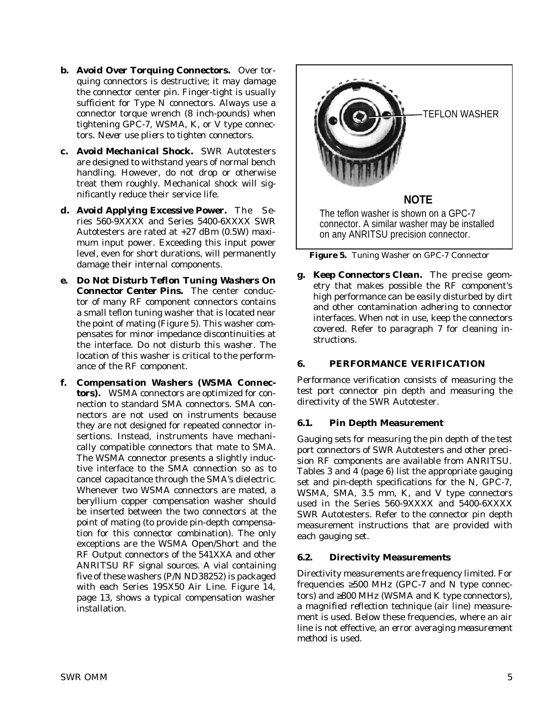- *b. Avoid Over Torquing Connectors.* Over torquing connectors is destructive; it may damage the connector center pin. Finger-tight is usually sufficient for Type N connectors. *Always* use a connector torque wrench (8 inch-pounds) when tightening GPC-7, WSMA, K, or V type connectors. *Never use pliers to tighten connectors*.
- *c. Avoid Mechanical Shock.* SWR Autotesters are designed to withstand years of normal bench handling. However, do not drop or otherwise treat them roughly. Mechanical shock will significantly reduce their service life.
- *d. Avoid Applying Excessive Power.* The Series 560-9XXXX and Series 5400-6XXXX SWR Autotesters are rated at +27 dBm (0.5W) maximum input power. Exceeding this input power level, even for short durations, will permanently damage their internal components.
- *e. Do Not Disturb Teflon Tuning Washers On Connector Center Pins.* The center conductor of many RF component connectors contains a small teflon tuning washer that is located near the point of mating (Figure 5). This washer compensates for minor impedance discontinuities at the interface. *Do not disturb this washer.* The location of this washer is critical to the performance of the RF component.
- *f. Compensation Washers (WSMA Connectors).* WSMA connectors are optimized for connection to standard SMA connectors. SMA connectors are not used on instruments because they are not designed for repeated connector insertions. Instead, instruments have mechanically compatible connectors that mate to SMA. The WSMA connector presents a slightly inductive interface to the SMA connection so as to cancel capacitance through the SMA's dielectric. Whenever two WSMA connectors are mated, a beryllium copper compensation washer should be inserted between the two connectors at the point of mating (to provide pin-depth compensation for this connector combination). The only exceptions are the WSMA Open/Short and the RF Output connectors of the 541XXA and other ANRITSU RF signal sources. A vial containing five of these washers (P/N ND38252) is packaged with each Series 19SX50 Air Line. Figure 14, page 13, shows a typical compensation washer installation.



**Figure 5.** Tuning Washer on GPC-7 Connector

*g. Keep Connectors Clean.* The precise geometry that makes possible the RF component's high performance can be easily disturbed by dirt and other contamination adhering to connector interfaces. When not in use, keep the connectors covered. Refer to paragraph 7 for cleaning instructions.

## **6. PERFORMANCE VERIFICATION**

Performance verification consists of measuring the test port connector pin depth and measuring the directivity of the SWR Autotester.

## **6.1. Pin Depth Measurement**

Gauging sets for measuring the pin depth of the test port connectors of SWR Autotesters and other precision RF components are available from ANRITSU. Tables 3 and 4 (page 6) list the appropriate gauging set and pin-depth specifications for the N, GPC-7, WSMA, SMA, 3.5 mm, K, and V type connectors used in the Series 560-9XXXX and 5400-6XXXX SWR Autotesters. Refer to the connector pin depth measurement instructions that are provided with each gauging set.

## **6.2. Directivity Measurements**

Directivity measurements are frequency limited. For frequencies  $\geq 500$  MHz (GPC-7 and N type connectors) and ≥800 MHz (WSMA and K type connectors), a *magnified reflection technique* (air line) measurement is used. Below these frequencies, where an air line is not effective, an *error averaging measurement method* is used.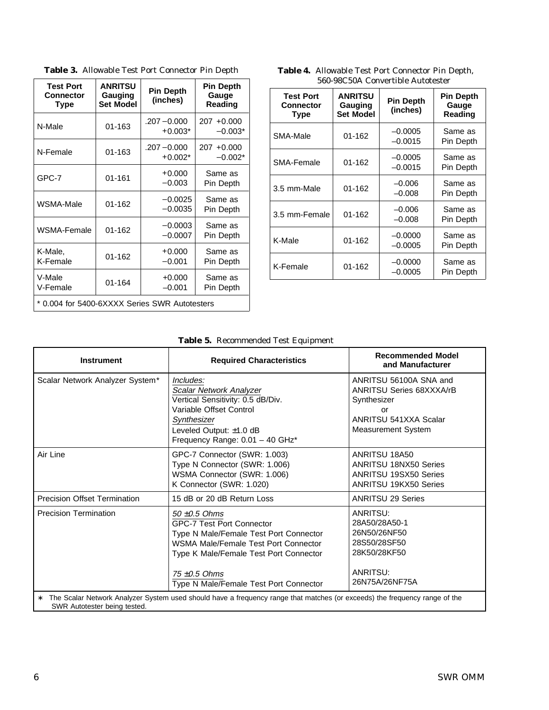| <b>Test Port</b><br><b>Connector</b><br><b>Type</b> | <b>ANRITSU</b><br>Gauging<br><b>Set Model</b> | <b>Pin Depth</b><br>(inches) | <b>Pin Depth</b><br>Gauge<br>Reading |  |  |  |
|-----------------------------------------------------|-----------------------------------------------|------------------------------|--------------------------------------|--|--|--|
| N-Male                                              | 01-163                                        | $.207 - 0.000$<br>$+0.003*$  | 207 +0.000<br>$-0.003*$              |  |  |  |
| N-Female                                            | $01 - 163$                                    | $.207 - 0.000$<br>$+0.002*$  | $207 + 0.000$<br>$-0.002*$           |  |  |  |
| GPC-7                                               | $01 - 161$                                    | $+0.000$<br>$-0.003$         | Same as<br>Pin Depth                 |  |  |  |
| WSMA-Male                                           | $01 - 162$                                    | $-0.0025$<br>$-0.0035$       | Same as<br>Pin Depth                 |  |  |  |
| WSMA-Female                                         | $01 - 162$                                    | $-0.0003$<br>$-0.0007$       | Same as<br>Pin Depth                 |  |  |  |
| K-Male,<br>K-Female                                 | $01 - 162$                                    | $+0.000$<br>$-0.001$         | Same as<br>Pin Depth                 |  |  |  |
| V-Male<br>V-Female                                  | $01 - 164$                                    | $+0.000$<br>$-0.001$         | Same as<br>Pin Depth                 |  |  |  |
| * 0.004 for 5400-6XXXX Series SWR Autotesters       |                                               |                              |                                      |  |  |  |

| Table 3. Allowable Test Port Connector Pin Depth |
|--------------------------------------------------|
|                                                  |

| <b>Test Port</b><br><b>Connector</b><br><b>Type</b> | <b>ANRITSU</b><br>Gauging<br><b>Set Model</b> | <b>Pin Depth</b><br>(inches) | <b>Pin Depth</b><br>Gauge<br>Reading |  |
|-----------------------------------------------------|-----------------------------------------------|------------------------------|--------------------------------------|--|
| SMA-Male                                            | 01-162                                        | $-0.0005$<br>$-0.0015$       | Same as<br>Pin Depth                 |  |
| SMA-Female                                          | 01-162                                        | $-0.0005$<br>$-0.0015$       | Same as<br>Pin Depth                 |  |
| 3.5 mm-Male                                         | $01 - 162$                                    | $-0.006$<br>$-0.008$         | Same as<br>Pin Depth                 |  |
| 3.5 mm-Female                                       | $01 - 162$                                    | $-0.006$<br>$-0.008$         | Same as<br>Pin Depth                 |  |
| K-Male                                              | 01-162                                        | $-0.0000$<br>$-0.0005$       | Same as<br>Pin Depth                 |  |
| K-Female                                            | 01-162                                        | $-0.0000$<br>$-0.0005$       | Same as<br>Pin Depth                 |  |

**Table 4.** Allowable Test Port Connector Pin Depth, 560-98C50A Convertible Autotester

# **Table 5.** Recommended Test Equipment

| <b>Instrument</b>                   | <b>Required Characteristics</b>                                                                                                                                                                                                                  | <b>Recommended Model</b><br>and Manufacturer                                                                                  |  |  |
|-------------------------------------|--------------------------------------------------------------------------------------------------------------------------------------------------------------------------------------------------------------------------------------------------|-------------------------------------------------------------------------------------------------------------------------------|--|--|
| Scalar Network Analyzer System*     | Includes:<br>Scalar Network Analyzer<br>Vertical Sensitivity: 0.5 dB/Div.<br>Variable Offset Control<br>Synthesizer<br>Leveled Output: ±1.0 dB<br>Frequency Range: 0.01 - 40 GHz*                                                                | ANRITSU 56100A SNA and<br><b>ANRITSU Series 68XXXA/rB</b><br>Synthesizer<br>or<br>ANRITSU 541XXA Scalar<br>Measurement System |  |  |
| Air Line                            | GPC-7 Connector (SWR: 1.003)<br>Type N Connector (SWR: 1.006)<br>WSMA Connector (SWR: 1.006)<br>K Connector (SWR: 1.020)                                                                                                                         | ANRITSU 18A50<br><b>ANRITSU 18NX50 Series</b><br><b>ANRITSU 19SX50 Series</b><br><b>ANRITSU 19KX50 Series</b>                 |  |  |
| <b>Precision Offset Termination</b> | 15 dB or 20 dB Return Loss                                                                                                                                                                                                                       | <b>ANRITSU 29 Series</b>                                                                                                      |  |  |
| <b>Precision Termination</b>        | $50 \pm 0.5$ Ohms<br><b>GPC-7 Test Port Connector</b><br>Type N Male/Female Test Port Connector<br>WSMA Male/Female Test Port Connector<br>Type K Male/Female Test Port Connector<br>$75 \pm 0.5$ Ohms<br>Type N Male/Female Test Port Connector | ANRITSU:<br>28A50/28A50-1<br>26N50/26NF50<br>28S50/28SF50<br>28K50/28KF50<br>ANRITSU:<br>26N75A/26NF75A                       |  |  |
| *<br>SWR Autotester being tested.   | The Scalar Network Analyzer System used should have a frequency range that matches (or exceeds) the frequency range of the                                                                                                                       |                                                                                                                               |  |  |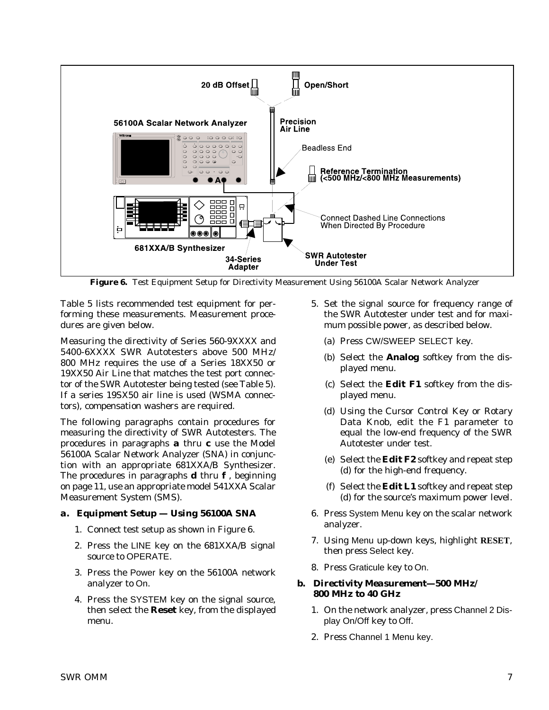

**Figure 6.** Test Equipment Setup for Directivity Measurement Using 56100A Scalar Network Analyzer

Table 5 lists recommended test equipment for performing these measurements. Measurement procedures are given below.

Measuring the directivity of Series 560-9XXXX and 5400-6XXXX SWR Autotesters above 500 MHz/ 800 MHz requires the use of a Series 18XX50 or 19XX50 Air Line that matches the test port connector of the SWR Autotester being tested (see Table 5). If a series 19SX50 air line is used (WSMA connectors), compensation washers are required.

The following paragraphs contain procedures for measuring the directivity of SWR Autotesters. The procedures in paragraphs *a* thru *c* use the Model 56100A Scalar Network Analyzer (SNA) in conjunction with an appropriate 681XXA/B Synthesizer. The procedures in paragraphs *d* thru *f* , beginning on page 11, use an appropriate model 541XXA Scalar Measurement System (SMS).

## *a. Equipment Setup — Using 56100A SNA*

- 1. Connect test setup as shown in Figure 6.
- 2. Press the LINE key on the 681XXA/B signal source to OPERATE.
- 3. Press the Power key on the 56100A network analyzer to On.
- 4. Press the SYSTEM key on the signal source, then select the **Reset** key, from the displayed menu.
- 5. Set the signal source for frequency range of the SWR Autotester under test and for maximum possible power, as described below.
	- (a) Press CW/SWEEP SELECT key.
	- (b) Select the **Analog** softkey from the displayed menu.
	- (c) Select the **Edit F1** softkey from the displayed menu.
	- (d) Using the Cursor Control Key or Rotary Data Knob, edit the F1 parameter to equal the low-end frequency of the SWR Autotester under test.
	- (e) Select the **Edit F2** softkey and repeat step (d) for the high-end frequency.
	- (f) Select the **Edit L1** softkey and repeat step (d) for the source's maximum power level.
- 6. Press System Menu key on the scalar network analyzer.
- 7. Using Menu up-down keys, highlight **RESET**, then press Select key.
- 8. Press Graticule key to On.

## *b. Directivity Measurement—500 MHz/ 800 MHz to 40 GHz*

- 1. On the network analyzer, press Channel 2 Display On/Off key to Off.
- 2. Press Channel 1 Menu key.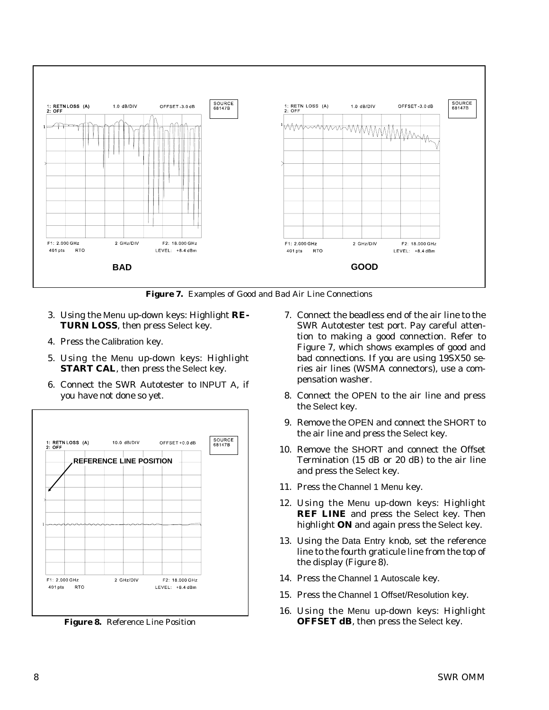



- 3. Using the Menu up-down keys: Highlight **RE-TURN LOSS**, then press Select key.
- 4. Press the Calibration key.
- 5. Using the Menu up-down keys: Highlight **START CAL**, then press the Select key.
- 6. Connect the SWR Autotester to INPUT A, if you have not done so yet.



**Figure 8.** Reference Line Position

- 7. Connect the beadless end of the air line to the SWR Autotester test port. Pay careful attention to making a good connection. Refer to Figure 7, which shows examples of good and bad connections. If you are using 19SX50 series air lines (WSMA connectors), use a compensation washer.
- 8. Connect the OPEN to the air line and press the Select key.
- 9. Remove the OPEN and connect the SHORT to the air line and press the Select key.
- 10. Remove the SHORT and connect the Offset Termination (15 dB or 20 dB) to the air line and press the Select key.
- 11. Press the Channel 1 Menu key.
- 12. Using the Menu up-down keys: Highlight **REF LINE** and press the Select key. Then highlight **ON** and again press the Select key.
- 13. Using the Data Entry knob, set the reference line to the fourth graticule line from the top of the display (Figure 8).
- 14. Press the Channel 1 Autoscale key.
- 15. Press the Channel 1 Offset/Resolution key.
- 16. Using the Menu up-down keys: Highlight **OFFSET dB**, then press the Select key.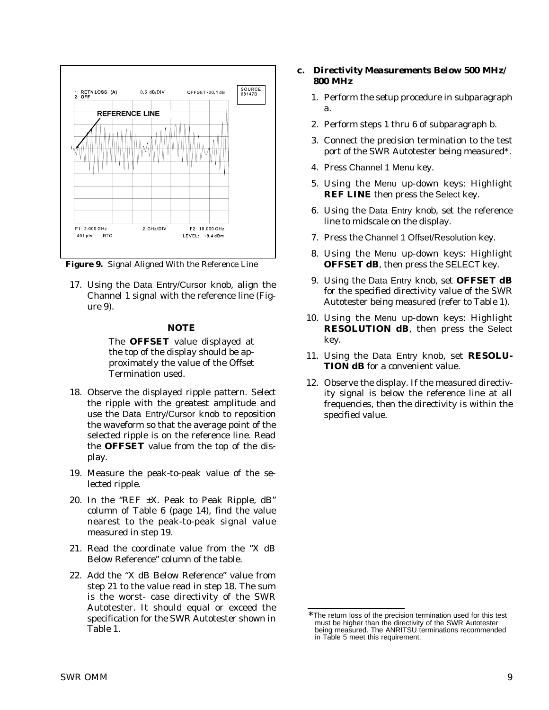

**Figure 9.** Signal Aligned With the Reference Line

17. Using the Data Entry/Cursor knob, align the Channel 1 signal with the reference line (Figure 9).

#### *NOTE*

The **OFFSET** value displayed at the top of the display should be approximately the value of the Offset Termination used.

- 18. Observe the displayed ripple pattern. Select the ripple with the greatest amplitude and use the Data Entry/Cursor knob to reposition the waveform so that the average point of the selected ripple is on the reference line. Read the **OFFSET** value from the top of the display.
- 19. Measure the peak-to-peak value of the selected ripple.
- 20. In the "REF  $\pm X$ . Peak to Peak Ripple, dB" column of Table 6 (page 14), find the value nearest to the peak-to-peak signal value measured in step 19.
- 21. Read the coordinate value from the "X dB Below Reference" column of the table.
- 22. Add the "X dB Below Reference" value from step 21 to the value read in step 18. The sum is the worst- case directivity of the SWR Autotester. It should equal or exceed the specification for the SWR Autotester shown in Table 1.
- *c. Directivity Measurements Below 500 MHz/ 800 MHz*
	- 1. Perform the setup procedure in subparagraph a.
	- 2. Perform steps 1 thru 6 of subparagraph b.
	- 3. Connect the precision termination to the test port of the SWR Autotester being measured\*.
	- 4. Press Channel 1 Menu key.
	- 5. Using the Menu up-down keys: Highlight **REF LINE** then press the Select key.
	- 6. Using the Data Entry knob, set the reference line to midscale on the display.
	- 7. Press the Channel 1 Offset/Resolution key.
	- 8. Using the Menu up-down keys: Highlight **OFFSET dB**, then press the SELECT key.
	- 9. Using the Data Entry knob, set **OFFSET dB** for the specified directivity value of the SWR Autotester being measured (refer to Table 1).
	- 10. Using the Menu up-down keys: Highlight **RESOLUTION dB**, then press the Select key.
	- 11. Using the Data Entry knob, set **RESOLU-TION dB** for a convenient value.
	- 12. Observe the display. If the measured directivity signal is below the reference line at all frequencies, then the directivity is within the specified value.

The return loss of the precision termination used for this test must be higher than the directivity of the SWR Autotester being measured. The ANRITSU terminations recommended in Table 5 meet this requirement.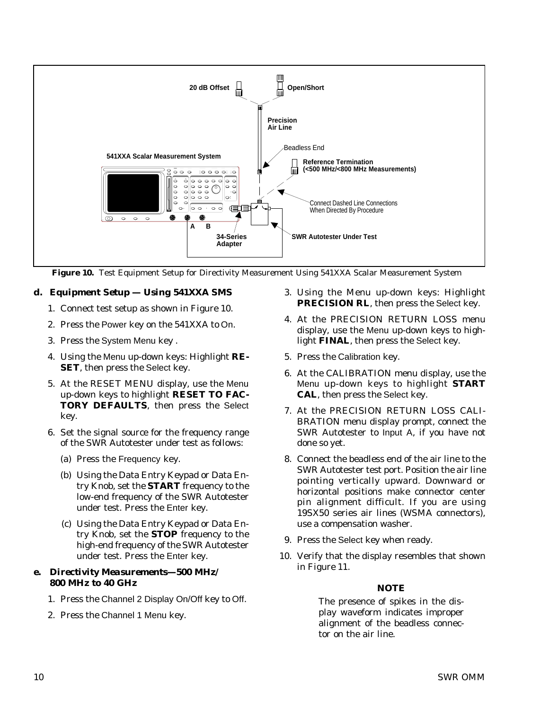

**Figure 10.** Test Equipment Setup for Directivity Measurement Using 541XXA Scalar Measurement System

# *d. Equipment Setup — Using 541XXA SMS*

- 1. Connect test setup as shown in Figure 10.
- 2. Press the Power key on the 541XXA to On.
- 3. Press the System Menu key .
- 4. Using the Menu up-down keys: Highlight **RE-SET**, then press the Select key.
- 5. At the RESET MENU display, use the Menu up-down keys to highlight **RESET TO FAC-TORY DEFAULTS**, then press the Select key.
- 6. Set the signal source for the frequency range of the SWR Autotester under test as follows:
	- (a) Press the Frequency key.
	- (b) Using the Data Entry Keypad or Data Entry Knob, set the **START** frequency to the low-end frequency of the SWR Autotester under test. Press the Enter key.
	- (c) Using the Data Entry Keypad or Data Entry Knob, set the **STOP** frequency to the high-end frequency of the SWR Autotester under test. Press the Enter key.

# *e. Directivity Measurements—500 MHz/ 800 MHz to 40 GHz*

- 1. Press the Channel 2 Display On/Off key to Off.
- 2. Press the Channel 1 Menu key.
- 3. Using the Menu up-down keys: Highlight **PRECISION RL**, then press the Select key.
- 4. At the PRECISION RETURN LOSS menu display, use the Menu up-down keys to highlight **FINAL**, then press the Select key.
- 5. Press the Calibration key.
- 6. At the CALIBRATION menu display, use the Menu up-down keys to highlight **START CAL**, then press the Select key.
- 7. At the PRECISION RETURN LOSS CALI-BRATION menu display prompt, connect the SWR Autotester to Input A, if you have not done so yet.
- 8. Connect the beadless end of the air line to the SWR Autotester test port. Position the air line pointing vertically upward. Downward or horizontal positions make connector center pin alignment difficult. If you are using 19SX50 series air lines (WSMA connectors), use a compensation washer.
- 9. Press the Select key when ready.
- 10. Verify that the display resembles that shown in Figure 11.

## *NOTE*

The presence of spikes in the display waveform indicates improper alignment of the beadless connector on the air line.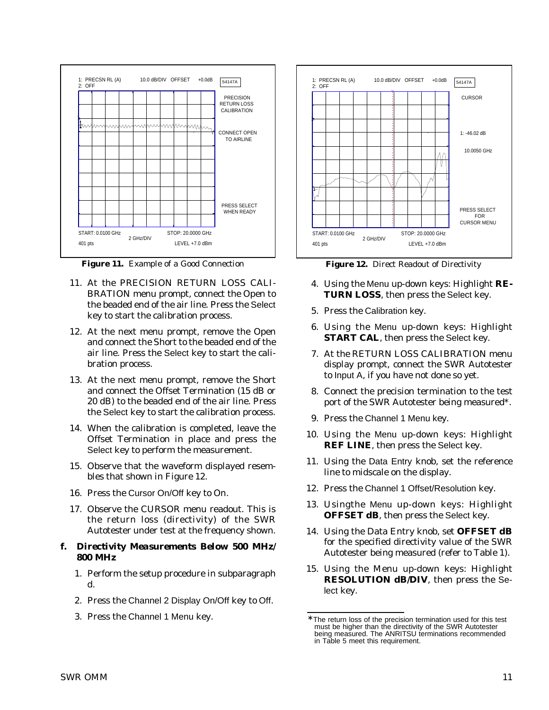

**Figure 11.** Example of a Good Connection

- 11. At the PRECISION RETURN LOSS CALI-BRATION menu prompt, connect the Open to the beaded end of the air line. Press the Select key to start the calibration process.
- 12. At the next menu prompt, remove the Open and connect the Short to the beaded end of the air line. Press the Select key to start the calibration process.
- 13. At the next menu prompt, remove the Short and connect the Offset Termination (15 dB or 20 dB) to the beaded end of the air line. Press the Select key to start the calibration process.
- 14. When the calibration is completed, leave the Offset Termination in place and press the Select key to perform the measurement.
- 15. Observe that the waveform displayed resembles that shown in Figure 12.
- 16. Press the Cursor On/Off key to On.
- 17. Observe the CURSOR menu readout. This is the return loss (directivity) of the SWR Autotester under test at the frequency shown.

#### *f. Directivity Measurements Below 500 MHz/ 800 MHz*

- 1. Perform the setup procedure in subparagraph d.
- 2. Press the Channel 2 Display On/Off key to Off.
- 3. Press the Channel 1 Menu key.



**Figure 12.** Direct Readout of Directivity

- 4. Using the Menu up-down keys: Highlight **RE-TURN LOSS**, then press the Select key.
- 5. Press the Calibration key.
- 6. Using the Menu up-down keys: Highlight **START CAL**, then press the Select key.
- 7. At the RETURN LOSS CALIBRATION menu display prompt, connect the SWR Autotester to Input A, if you have not done so yet.
- 8. Connect the precision termination to the test port of the SWR Autotester being measured\*.
- 9. Press the Channel 1 Menu key.
- 10. Using the Menu up-down keys: Highlight **REF LINE**, then press the Select key.
- 11. Using the Data Entry knob, set the reference line to midscale on the display.
- 12. Press the Channel 1 Offset/Resolution key.
- 13. Usingthe Menu up-down keys: Highlight **OFFSET dB**, then press the Select key.
- 14. Using the Data Entry knob, set **OFFSET dB** for the specified directivity value of the SWR Autotester being measured (refer to Table 1).
- 15. Using the Menu up-down keys: Highlight **RESOLUTION dB/DIV**, then press the Select key.

The return loss of the precision termination used for this test must be higher than the directivity of the SWR Autotester being measured. The ANRITSU terminations recommended in Table 5 meet this requirement.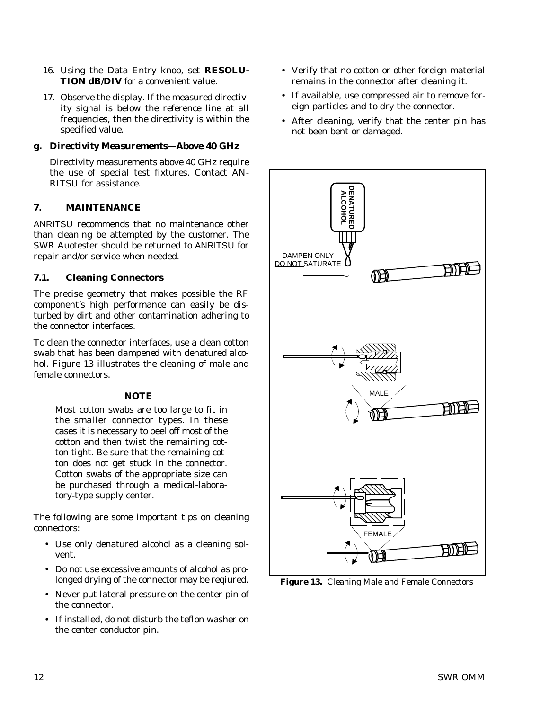- 16. Using the Data Entry knob, set **RESOLU-TION dB/DIV** for a convenient value.
- 17. Observe the display. If the measured directivity signal is below the reference line at all frequencies, then the directivity is within the specified value.

# *g. Directivity Measurements—Above 40 GHz*

Directivity measurements above 40 GHz require the use of special test fixtures. Contact AN-RITSU for assistance.

## **7. MAINTENANCE**

ANRITSU recommends that no maintenance other than cleaning be attempted by the customer. The SWR Auotester should be returned to ANRITSU for repair and/or service when needed.

## **7.1. Cleaning Connectors**

The precise geometry that makes possible the RF component's high performance can easily be disturbed by dirt and other contamination adhering to the connector interfaces.

To clean the connector interfaces, use a clean cotton swab that has been *dampened* with denatured alcohol. Figure 13 illustrates the cleaning of male and female connectors.

## *NOTE*

Most cotton swabs are too large to fit in the smaller connector types. In these cases it is necessary to peel off most of the cotton and then twist the remaining cotton tight. Be sure that the remaining cotton does not get stuck in the connector. Cotton swabs of the appropriate size can be purchased through a medical-laboratory-type supply center.

The following are some important tips on cleaning connectors:

- Use only denatured alcohol as a cleaning solvent.
- Do not use excessive amounts of alcohol as prolonged drying of the connector may be reqiured.
- Never put lateral pressure on the center pin of the connector.
- If installed, do not disturb the teflon washer on the center conductor pin.
- Verify that no cotton or other foreign material remains in the connector after cleaning it.
- If available, use compressed air to remove foreign particles and to dry the connector.
- After cleaning, verify that the center pin has not been bent or damaged.



**Figure 13.** Cleaning Male and Female Connectors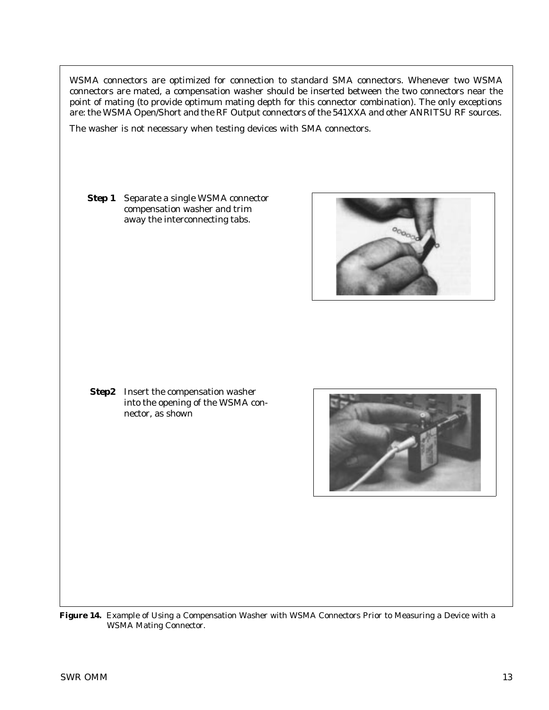WSMA connectors are optimized for connection to standard SMA connectors. Whenever two WSMA connectors are mated, a compensation washer should be inserted between the two connectors near the point of mating (to provide optimum mating depth for this connector combination). The only exceptions are: the WSMA Open/Short and the RF Output connectors of the 541XXA and other ANRITSU RF sources.

The washer is not necessary when testing devices with SMA connectors.

**Step 1** Separate a single WSMA connector compensation washer and trim away the interconnecting tabs.



**Step2** Insert the compensation washer into the opening of the WSMA connector, as shown



**Figure 14.** Example of Using a Compensation Washer with WSMA Connectors Prior to Measuring a Device with a WSMA Mating Connector.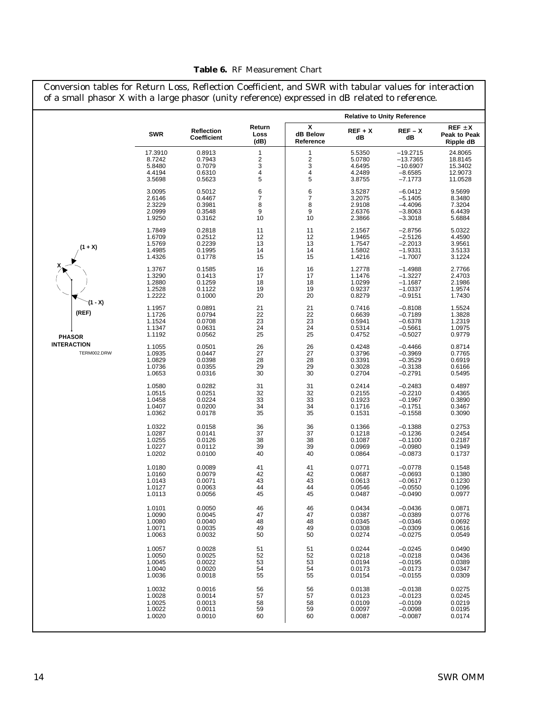|                                   | Conversion tables for Return Loss, Reflection Coefficient, and SWR with tabular values for interaction<br>of a small phasor X with a large phasor (unity reference) expressed in dB related to reference. |                                                |                            |                            |                                                |                                                             |                                                |
|-----------------------------------|-----------------------------------------------------------------------------------------------------------------------------------------------------------------------------------------------------------|------------------------------------------------|----------------------------|----------------------------|------------------------------------------------|-------------------------------------------------------------|------------------------------------------------|
|                                   |                                                                                                                                                                                                           |                                                |                            |                            |                                                | <b>Relative to Unity Reference</b>                          |                                                |
|                                   | <b>SWR</b>                                                                                                                                                                                                | <b>Reflection</b><br>Coefficient               | Return<br>Loss<br>(dB)     | X<br>dB Below<br>Reference | $REF + X$<br>dB                                | $REF-X$<br>dB                                               | $REF \pm X$<br>Peak to Peak<br>Ripple dB       |
|                                   | 17.3910                                                                                                                                                                                                   | 0.8913                                         | 1                          | 1                          | 5.5350                                         | $-19.2715$                                                  | 24.8065                                        |
|                                   | 8.7242                                                                                                                                                                                                    | 0.7943                                         | $\overline{\mathbf{c}}$    | 2                          | 5.0780                                         | $-13.7365$                                                  | 18.8145                                        |
|                                   | 5.8480                                                                                                                                                                                                    | 0.7079                                         | 3                          | 3                          | 4.6495                                         | $-10.6907$                                                  | 15.3402                                        |
|                                   | 4.4194                                                                                                                                                                                                    | 0.6310                                         | 4                          | 4                          | 4.2489                                         | $-8.6585$                                                   | 12.9073                                        |
|                                   | 3.5698                                                                                                                                                                                                    | 0.5623                                         | 5                          | 5                          | 3.8755                                         | $-7.1773$                                                   | 11.0528                                        |
|                                   | 3.0095                                                                                                                                                                                                    | 0.5012                                         | 6                          | 6                          | 3.5287                                         | $-6.0412$                                                   | 9.5699                                         |
|                                   | 2.6146                                                                                                                                                                                                    | 0.4467                                         | 7                          | 7                          | 3.2075                                         | $-5.1405$                                                   | 8.3480                                         |
|                                   | 2.3229                                                                                                                                                                                                    | 0.3981                                         | 8                          | 8                          | 2.9108                                         | $-4.4096$                                                   | 7.3204                                         |
|                                   | 2.0999                                                                                                                                                                                                    | 0.3548                                         | 9                          | 9                          | 2.6376                                         | $-3.8063$                                                   | 6.4439                                         |
|                                   | 1.9250                                                                                                                                                                                                    | 0.3162                                         | 10                         | 10                         | 2.3866                                         | $-3.3018$                                                   | 5.6884                                         |
| $(1 + X)$                         | 1.7849                                                                                                                                                                                                    | 0.2818                                         | 11                         | 11                         | 2.1567                                         | $-2.8756$                                                   | 5.0322                                         |
|                                   | 1.6709                                                                                                                                                                                                    | 0.2512                                         | 12                         | 12                         | 1.9465                                         | $-2.5126$                                                   | 4.4590                                         |
|                                   | 1.5769                                                                                                                                                                                                    | 0.2239                                         | 13                         | 13                         | 1.7547                                         | $-2.2013$                                                   | 3.9561                                         |
|                                   | 1.4985                                                                                                                                                                                                    | 0.1995                                         | 14                         | 14                         | 1.5802                                         | $-1.9331$                                                   | 3.5133                                         |
|                                   | 1.4326                                                                                                                                                                                                    | 0.1778                                         | 15                         | 15                         | 1.4216                                         | $-1.7007$                                                   | 3.1224                                         |
|                                   | 1.3767                                                                                                                                                                                                    | 0.1585                                         | 16                         | 16                         | 1.2778                                         | $-1.4988$                                                   | 2.7766                                         |
|                                   | 1.3290                                                                                                                                                                                                    | 0.1413                                         | 17                         | 17                         | 1.1476                                         | $-1.3227$                                                   | 2.4703                                         |
|                                   | 1.2880                                                                                                                                                                                                    | 0.1259                                         | 18                         | 18                         | 1.0299                                         | $-1.1687$                                                   | 2.1986                                         |
|                                   | 1.2528                                                                                                                                                                                                    | 0.1122                                         | 19                         | 19                         | 0.9237                                         | $-1.0337$                                                   | 1.9574                                         |
|                                   | 1.2222                                                                                                                                                                                                    | 0.1000                                         | 20                         | 20                         | 0.8279                                         | $-0.9151$                                                   | 1.7430                                         |
| (1 - X)<br>(REF)<br><b>PHASOR</b> | 1.1957<br>1.1726<br>1.1524<br>1.1347<br>1.1192                                                                                                                                                            | 0.0891<br>0.0794<br>0.0708<br>0.0631<br>0.0562 | 21<br>22<br>23<br>24<br>25 | 21<br>22<br>23<br>24<br>25 | 0.7416<br>0.6639<br>0.5941<br>0.5314<br>0.4752 | $-0.8108$<br>-0.7189<br>$-0.6378$<br>$-0.5661$<br>$-0.5027$ | 1.5524<br>1.3828<br>1.2319<br>1.0975<br>0.9779 |
| <b>INTERACTION</b><br>TERM002.DRW | 1.1055<br>1.0935<br>1.0829<br>1.0736<br>1.0653                                                                                                                                                            | 0.0501<br>0.0447<br>0.0398<br>0.0355<br>0.0316 | 26<br>27<br>28<br>29<br>30 | 26<br>27<br>28<br>29<br>30 | 0.4248<br>0.3796<br>0.3391<br>0.3028<br>0.2704 | $-0.4466$<br>$-0.3969$<br>-0.3529<br>$-0.3138$<br>$-0.2791$ | 0.8714<br>0.7765<br>0.6919<br>0.6166<br>0.5495 |
|                                   | 1.0580                                                                                                                                                                                                    | 0.0282                                         | 31                         | 31                         | 0.2414                                         | $-0.2483$                                                   | 0.4897                                         |
|                                   | 1.0515                                                                                                                                                                                                    | 0.0251                                         | 32                         | 32                         | 0.2155                                         | $-0.2210$                                                   | 0.4365                                         |
|                                   | 1.0458                                                                                                                                                                                                    | 0.0224                                         | 33                         | 33                         | 0.1923                                         | $-0.1967$                                                   | 0.3890                                         |
|                                   | 1.0407                                                                                                                                                                                                    | 0.0200                                         | 34                         | 34                         | 0.1716                                         | $-0.1751$                                                   | 0.3467                                         |
|                                   | 1.0362                                                                                                                                                                                                    | 0.0178                                         | 35                         | 35                         | 0.1531                                         | $-0.1558$                                                   | 0.3090                                         |
|                                   | 1.0322                                                                                                                                                                                                    | 0.0158                                         | 36                         | 36                         | 0.1366                                         | $-0.1388$                                                   | 0.2753                                         |
|                                   | 1.0287                                                                                                                                                                                                    | 0.0141                                         | 37                         | 37                         | 0.1218                                         | $-0.1236$                                                   | 0.2454                                         |
|                                   | 1.0255                                                                                                                                                                                                    | 0.0126                                         | 38                         | 38                         | 0.1087                                         | $-0.1100$                                                   | 0.2187                                         |
|                                   | 1.0227                                                                                                                                                                                                    | 0.0112                                         | 39                         | 39                         | 0.0969                                         | $-0.0980$                                                   | 0.1949                                         |
|                                   | 1.0202                                                                                                                                                                                                    | 0.0100                                         | 40                         | 40                         | 0.0864                                         | $-0.0873$                                                   | 0.1737                                         |
|                                   | 1.0180                                                                                                                                                                                                    | 0.0089                                         | 41                         | 41                         | 0.0771                                         | $-0.0778$                                                   | 0.1548                                         |
|                                   | 1.0160                                                                                                                                                                                                    | 0.0079                                         | 42                         | 42                         | 0.0687                                         | $-0.0693$                                                   | 0.1380                                         |
|                                   | 1.0143                                                                                                                                                                                                    | 0.0071                                         | 43                         | 43                         | 0.0613                                         | $-0.0617$                                                   | 0.1230                                         |
|                                   | 1.0127                                                                                                                                                                                                    | 0.0063                                         | 44                         | 44                         | 0.0546                                         | $-0.0550$                                                   | 0.1096                                         |
|                                   | 1.0113                                                                                                                                                                                                    | 0.0056                                         | 45                         | 45                         | 0.0487                                         | $-0.0490$                                                   | 0.0977                                         |
|                                   | 1.0101                                                                                                                                                                                                    | 0.0050                                         | 46                         | 46                         | 0.0434                                         | $-0.0436$                                                   | 0.0871                                         |
|                                   | 1.0090                                                                                                                                                                                                    | 0.0045                                         | 47                         | 47                         | 0.0387                                         | $-0.0389$                                                   | 0.0776                                         |
|                                   | 1.0080                                                                                                                                                                                                    | 0.0040                                         | 48                         | 48                         | 0.0345                                         | $-0.0346$                                                   | 0.0692                                         |
|                                   | 1.0071                                                                                                                                                                                                    | 0.0035                                         | 49                         | 49                         | 0.0308                                         | $-0.0309$                                                   | 0.0616                                         |
|                                   | 1.0063                                                                                                                                                                                                    | 0.0032                                         | 50                         | 50                         | 0.0274                                         | $-0.0275$                                                   | 0.0549                                         |
|                                   | 1.0057                                                                                                                                                                                                    | 0.0028                                         | 51                         | 51                         | 0.0244                                         | $-0.0245$                                                   | 0.0490                                         |
|                                   | 1.0050                                                                                                                                                                                                    | 0.0025                                         | 52                         | 52                         | 0.0218                                         | $-0.0218$                                                   | 0.0436                                         |
|                                   | 1.0045                                                                                                                                                                                                    | 0.0022                                         | 53                         | 53                         | 0.0194                                         | $-0.0195$                                                   | 0.0389                                         |
|                                   | 1.0040                                                                                                                                                                                                    | 0.0020                                         | 54                         | 54                         | 0.0173                                         | $-0.0173$                                                   | 0.0347                                         |
|                                   | 1.0036                                                                                                                                                                                                    | 0.0018                                         | 55                         | 55                         | 0.0154                                         | $-0.0155$                                                   | 0.0309                                         |
|                                   | 1.0032                                                                                                                                                                                                    | 0.0016                                         | 56                         | 56                         | 0.0138                                         | $-0.0138$                                                   | 0.0275                                         |
|                                   | 1.0028                                                                                                                                                                                                    | 0.0014                                         | 57                         | 57                         | 0.0123                                         | $-0.0123$                                                   | 0.0245                                         |
|                                   | 1.0025                                                                                                                                                                                                    | 0.0013                                         | 58                         | 58                         | 0.0109                                         | $-0.0109$                                                   | 0.0219                                         |
|                                   | 1.0022                                                                                                                                                                                                    | 0.0011                                         | 59                         | 59                         | 0.0097                                         | $-0.0098$                                                   | 0.0195                                         |
|                                   | 1.0020                                                                                                                                                                                                    | 0.0010                                         | 60                         | 60                         | 0.0087                                         | $-0.0087$                                                   | 0.0174                                         |

## **Table 6.** RF Measurement Chart